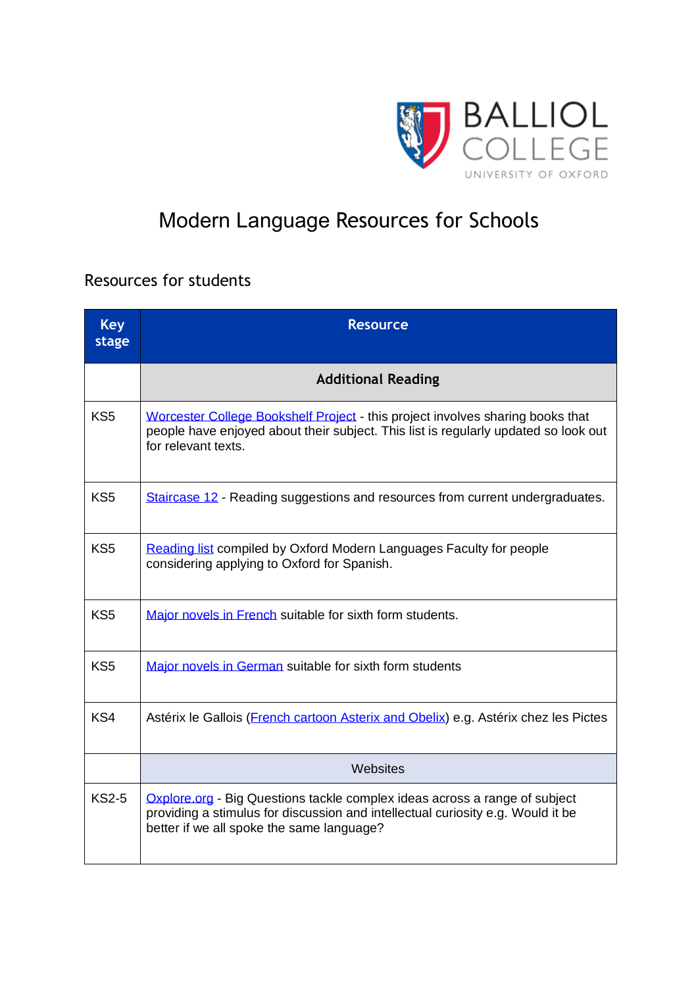

## Modern Language Resources for Schools

## Resources for students

| <b>Key</b><br>stage | <b>Resource</b>                                                                                                                                                                                            |
|---------------------|------------------------------------------------------------------------------------------------------------------------------------------------------------------------------------------------------------|
|                     | <b>Additional Reading</b>                                                                                                                                                                                  |
| KS <sub>5</sub>     | Worcester College Bookshelf Project - this project involves sharing books that<br>people have enjoyed about their subject. This list is regularly updated so look out<br>for relevant texts.               |
| KS <sub>5</sub>     | Staircase 12 - Reading suggestions and resources from current undergraduates.                                                                                                                              |
| KS <sub>5</sub>     | Reading list compiled by Oxford Modern Languages Faculty for people<br>considering applying to Oxford for Spanish.                                                                                         |
| KS <sub>5</sub>     | Major novels in French suitable for sixth form students.                                                                                                                                                   |
| KS <sub>5</sub>     | Major novels in German suitable for sixth form students                                                                                                                                                    |
| KS4                 | Astérix le Gallois (French cartoon Asterix and Obelix) e.g. Astérix chez les Pictes                                                                                                                        |
|                     | Websites                                                                                                                                                                                                   |
| <b>KS2-5</b>        | Oxplore.org - Big Questions tackle complex ideas across a range of subject<br>providing a stimulus for discussion and intellectual curiosity e.g. Would it be<br>better if we all spoke the same language? |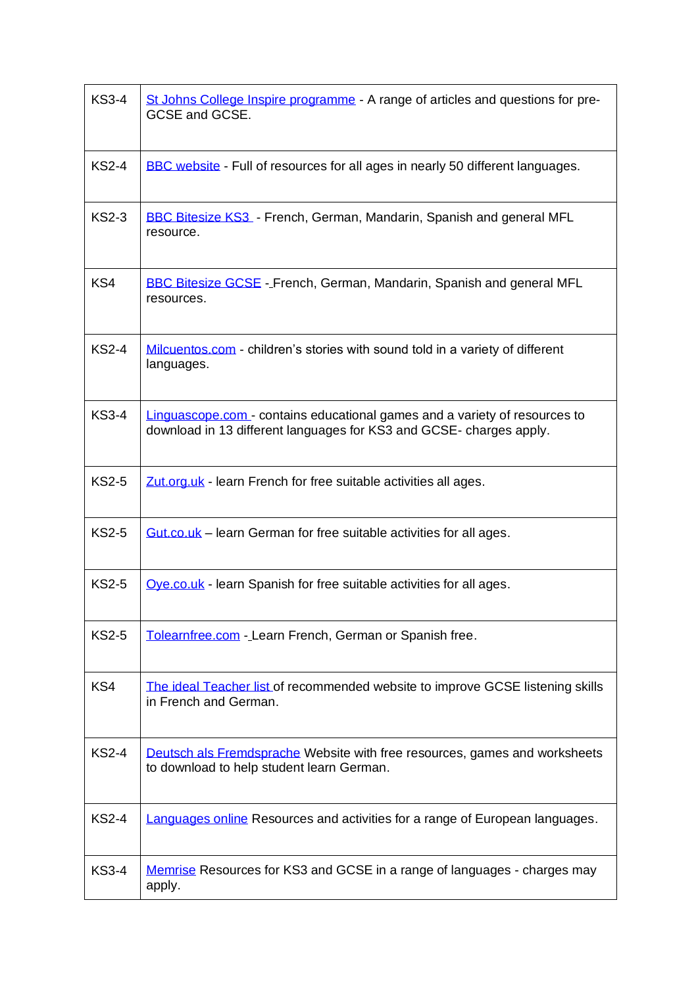| <b>KS3-4</b> | St Johns College Inspire programme - A range of articles and questions for pre-<br>GCSE and GCSE.                                                |
|--------------|--------------------------------------------------------------------------------------------------------------------------------------------------|
| <b>KS2-4</b> | BBC website - Full of resources for all ages in nearly 50 different languages.                                                                   |
| <b>KS2-3</b> | <b>BBC Bitesize KS3</b> - French, German, Mandarin, Spanish and general MFL<br>resource.                                                         |
| KS4          | <b>BBC Bitesize GCSE</b> - French, German, Mandarin, Spanish and general MFL<br>resources.                                                       |
| <b>KS2-4</b> | Milcuentos.com - children's stories with sound told in a variety of different<br>languages.                                                      |
| <b>KS3-4</b> | Linguascope.com - contains educational games and a variety of resources to<br>download in 13 different languages for KS3 and GCSE-charges apply. |
| <b>KS2-5</b> | Zut.org.uk - learn French for free suitable activities all ages.                                                                                 |
| <b>KS2-5</b> | <b>Gut.co.uk</b> – learn German for free suitable activities for all ages.                                                                       |
| <b>KS2-5</b> | Oye.co.uk - learn Spanish for free suitable activities for all ages.                                                                             |
| <b>KS2-5</b> | Tolearnfree.com - Learn French, German or Spanish free.                                                                                          |
| KS4          | The ideal Teacher list of recommended website to improve GCSE listening skills<br>in French and German.                                          |
| <b>KS2-4</b> | Deutsch als Fremdsprache Website with free resources, games and worksheets<br>to download to help student learn German.                          |
| <b>KS2-4</b> | Languages online Resources and activities for a range of European languages.                                                                     |
| <b>KS3-4</b> | Memrise Resources for KS3 and GCSE in a range of languages - charges may<br>apply.                                                               |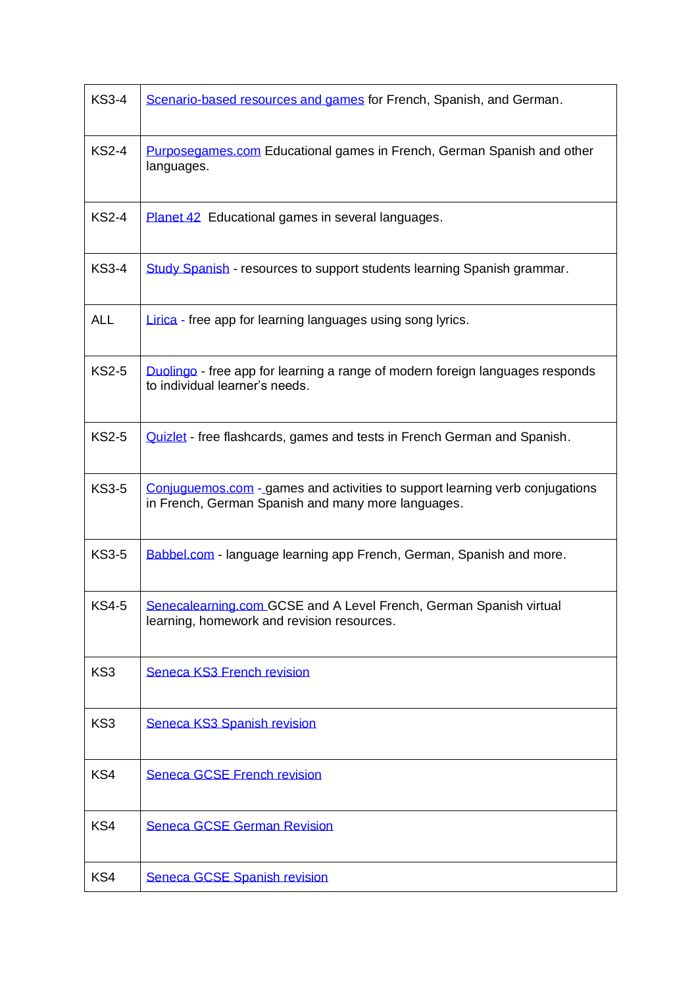| <b>KS3-4</b> | Scenario-based resources and games for French, Spanish, and German.                                                                |
|--------------|------------------------------------------------------------------------------------------------------------------------------------|
| <b>KS2-4</b> | Purposegames.com Educational games in French, German Spanish and other<br>languages.                                               |
| <b>KS2-4</b> | Planet 42 Educational games in several languages.                                                                                  |
| <b>KS3-4</b> | Study Spanish - resources to support students learning Spanish grammar.                                                            |
| <b>ALL</b>   | <b>Lirica</b> - free app for learning languages using song lyrics.                                                                 |
| <b>KS2-5</b> | Duolingo - free app for learning a range of modern foreign languages responds<br>to individual learner's needs.                    |
| <b>KS2-5</b> | Quizlet - free flashcards, games and tests in French German and Spanish.                                                           |
| <b>KS3-5</b> | Conjuguemos.com - games and activities to support learning verb conjugations<br>in French, German Spanish and many more languages. |
| <b>KS3-5</b> | Babbel.com - language learning app French, German, Spanish and more.                                                               |
| <b>KS4-5</b> | Senecalearning.com GCSE and A Level French, German Spanish virtual<br>learning, homework and revision resources.                   |
| KS3          | <b>Seneca KS3 French revision</b>                                                                                                  |
| KS3          | Seneca KS3 Spanish revision                                                                                                        |
| KS4          | <b>Seneca GCSE French revision</b>                                                                                                 |
| KS4          | <b>Seneca GCSE German Revision</b>                                                                                                 |
| KS4          | Seneca GCSE Spanish revision                                                                                                       |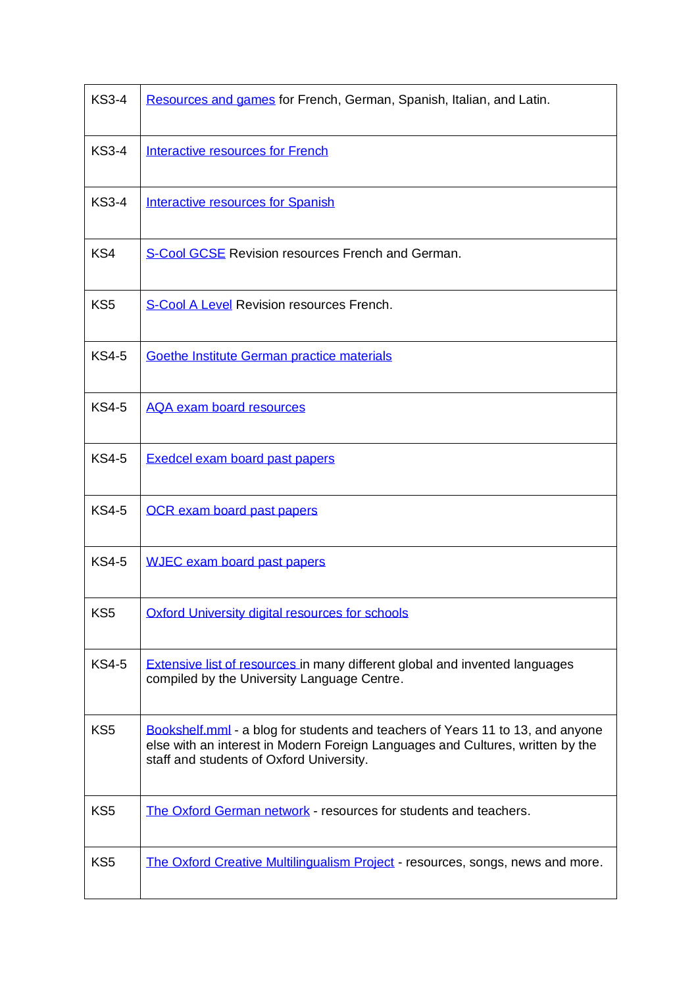| <b>KS3-4</b>    | Resources and games for French, German, Spanish, Italian, and Latin.                                                                                                                                         |
|-----------------|--------------------------------------------------------------------------------------------------------------------------------------------------------------------------------------------------------------|
| <b>KS3-4</b>    | Interactive resources for French                                                                                                                                                                             |
| <b>KS3-4</b>    | <b>Interactive resources for Spanish</b>                                                                                                                                                                     |
| KS4             | S-Cool GCSE Revision resources French and German.                                                                                                                                                            |
| KS <sub>5</sub> | <b>S-Cool A Level Revision resources French.</b>                                                                                                                                                             |
| <b>KS4-5</b>    | Goethe Institute German practice materials                                                                                                                                                                   |
| <b>KS4-5</b>    | <b>AQA exam board resources</b>                                                                                                                                                                              |
| <b>KS4-5</b>    | Exedcel exam board past papers                                                                                                                                                                               |
| <b>KS4-5</b>    | <b>OCR</b> exam board past papers                                                                                                                                                                            |
| <b>KS4-5</b>    | <b>WJEC</b> exam board past papers                                                                                                                                                                           |
| KS5             | Oxford University digital resources for schools                                                                                                                                                              |
| <b>KS4-5</b>    | <b>Extensive list of resources in many different global and invented languages</b><br>compiled by the University Language Centre.                                                                            |
| KS <sub>5</sub> | Bookshelf.mml - a blog for students and teachers of Years 11 to 13, and anyone<br>else with an interest in Modern Foreign Languages and Cultures, written by the<br>staff and students of Oxford University. |
| KS <sub>5</sub> | The Oxford German network - resources for students and teachers.                                                                                                                                             |
| KS <sub>5</sub> | The Oxford Creative Multilingualism Project - resources, songs, news and more.                                                                                                                               |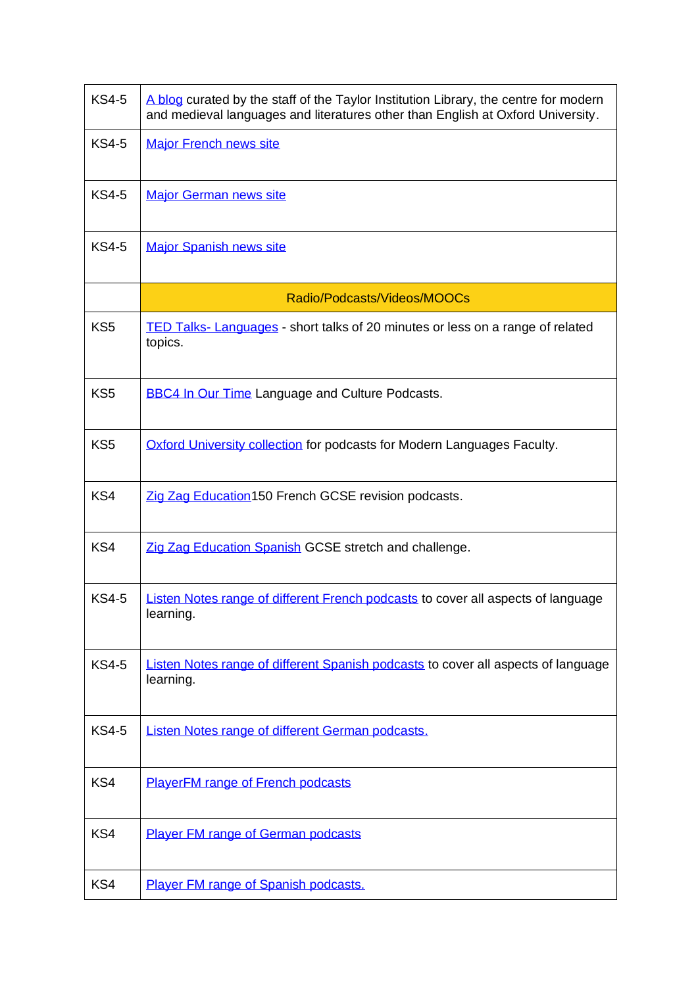| <b>KS4-5</b>    | A blog curated by the staff of the Taylor Institution Library, the centre for modern<br>and medieval languages and literatures other than English at Oxford University. |  |
|-----------------|-------------------------------------------------------------------------------------------------------------------------------------------------------------------------|--|
| <b>KS4-5</b>    | <b>Major French news site</b>                                                                                                                                           |  |
| <b>KS4-5</b>    | <b>Major German news site</b>                                                                                                                                           |  |
| <b>KS4-5</b>    | <b>Major Spanish news site</b>                                                                                                                                          |  |
|                 | Radio/Podcasts/Videos/MOOCs                                                                                                                                             |  |
| KS <sub>5</sub> | TED Talks-Languages - short talks of 20 minutes or less on a range of related<br>topics.                                                                                |  |
| KS <sub>5</sub> | <b>BBC4 In Our Time Language and Culture Podcasts.</b>                                                                                                                  |  |
| KS <sub>5</sub> | Oxford University collection for podcasts for Modern Languages Faculty.                                                                                                 |  |
| KS4             | Zig Zag Education 150 French GCSE revision podcasts.                                                                                                                    |  |
| KS4             | Zig Zag Education Spanish GCSE stretch and challenge.                                                                                                                   |  |
| <b>KS4-5</b>    | Listen Notes range of different French podcasts to cover all aspects of language<br>learning.                                                                           |  |
| <b>KS4-5</b>    | Listen Notes range of different Spanish podcasts to cover all aspects of language<br>learning.                                                                          |  |
| <b>KS4-5</b>    | Listen Notes range of different German podcasts.                                                                                                                        |  |
| KS4             | <b>PlayerFM range of French podcasts</b>                                                                                                                                |  |
| KS4             | <b>Player FM range of German podcasts</b>                                                                                                                               |  |
| KS4             | Player FM range of Spanish podcasts.                                                                                                                                    |  |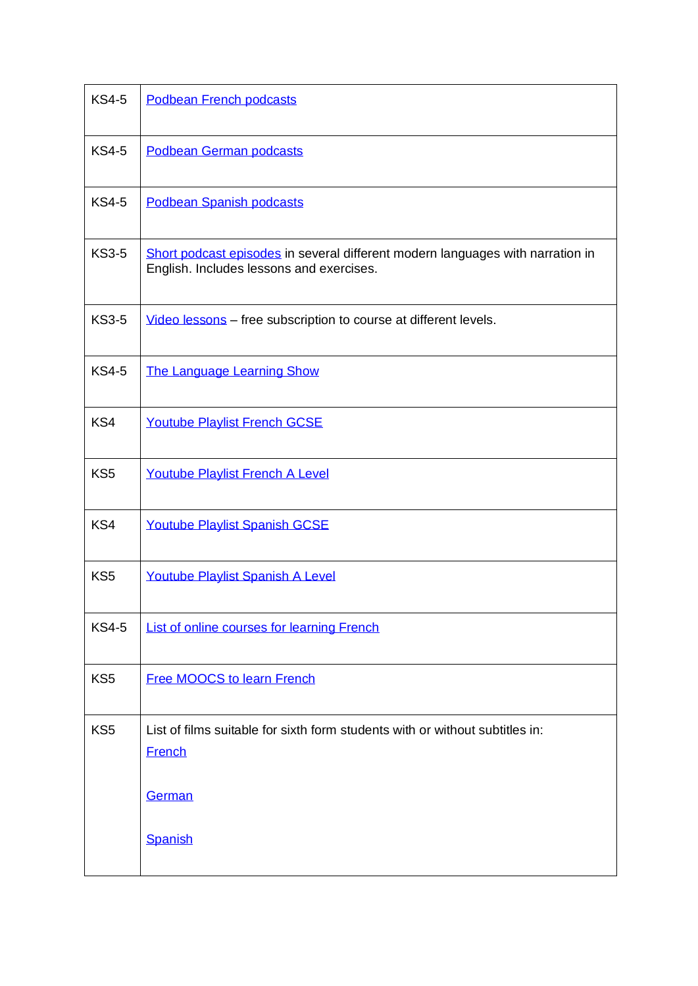| <b>KS4-5</b>    | Podbean French podcasts                                                                                                    |  |
|-----------------|----------------------------------------------------------------------------------------------------------------------------|--|
| <b>KS4-5</b>    | Podbean German podcasts                                                                                                    |  |
| <b>KS4-5</b>    | Podbean Spanish podcasts                                                                                                   |  |
| <b>KS3-5</b>    | Short podcast episodes in several different modern languages with narration in<br>English. Includes lessons and exercises. |  |
| <b>KS3-5</b>    | Video lessons - free subscription to course at different levels.                                                           |  |
| <b>KS4-5</b>    | The Language Learning Show                                                                                                 |  |
| KS4             | Youtube Playlist French GCSE                                                                                               |  |
| KS <sub>5</sub> | Youtube Playlist French A Level                                                                                            |  |
| KS4             | <b>Youtube Playlist Spanish GCSE</b>                                                                                       |  |
| KS <sub>5</sub> | Youtube Playlist Spanish A Level                                                                                           |  |
| <b>KS4-5</b>    | List of online courses for learning French                                                                                 |  |
| KS <sub>5</sub> | <b>Free MOOCS to learn French</b>                                                                                          |  |
| KS <sub>5</sub> | List of films suitable for sixth form students with or without subtitles in:<br><b>French</b>                              |  |
|                 | German                                                                                                                     |  |
|                 | Spanish                                                                                                                    |  |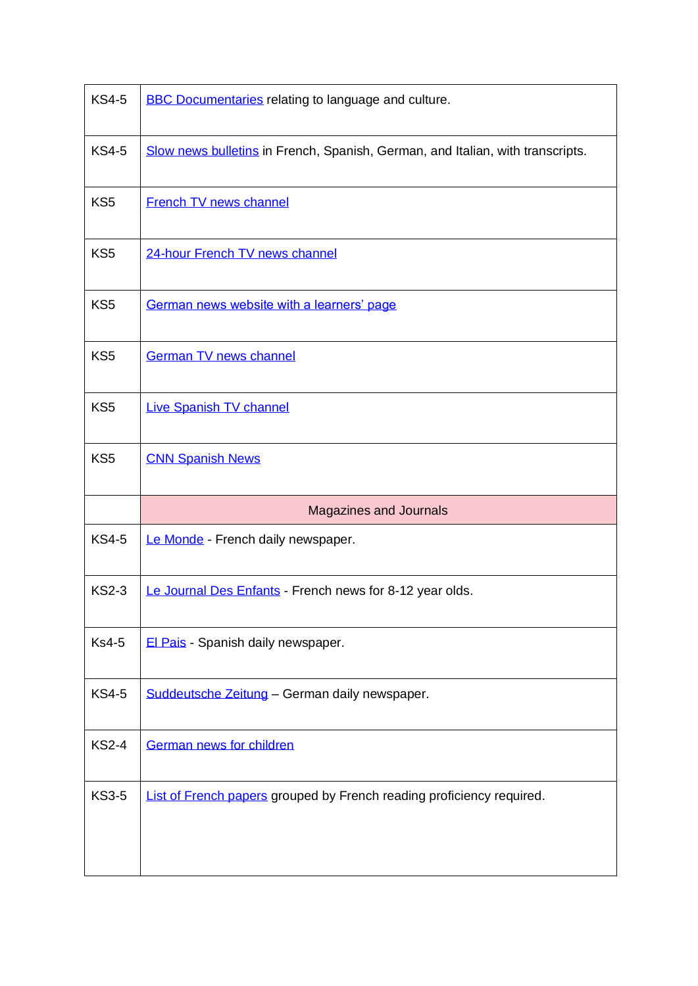| <b>KS4-5</b>    | <b>BBC Documentaries relating to language and culture.</b>                     |  |
|-----------------|--------------------------------------------------------------------------------|--|
| <b>KS4-5</b>    | Slow news bulletins in French, Spanish, German, and Italian, with transcripts. |  |
| KS <sub>5</sub> | <b>French TV news channel</b>                                                  |  |
| KS <sub>5</sub> | 24-hour French TV news channel                                                 |  |
| KS <sub>5</sub> | German news website with a learners' page                                      |  |
| KS <sub>5</sub> | <b>German TV news channel</b>                                                  |  |
| KS <sub>5</sub> | Live Spanish TV channel                                                        |  |
| KS <sub>5</sub> | <b>CNN Spanish News</b>                                                        |  |
|                 | <b>Magazines and Journals</b>                                                  |  |
| <b>KS4-5</b>    | Le Monde - French daily newspaper.                                             |  |
|                 |                                                                                |  |
| <b>KS2-3</b>    | Le Journal Des Enfants - French news for 8-12 year olds.                       |  |
| <b>Ks4-5</b>    | El Pais - Spanish daily newspaper.                                             |  |
| <b>KS4-5</b>    | Suddeutsche Zeitung - German daily newspaper.                                  |  |
| <b>KS2-4</b>    | German news for children                                                       |  |